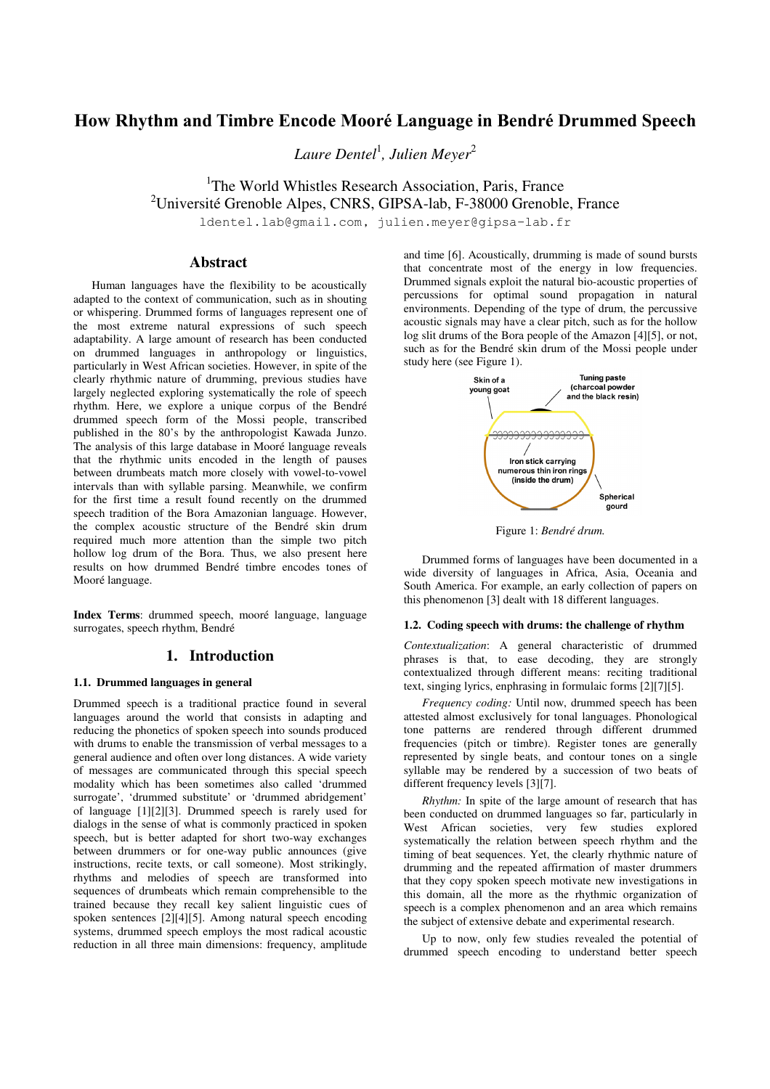# **How Rhythm and Timbre Encode Mooré Language in Bendré Drummed Speech**

*Laure Dentel*<sup>1</sup> *, Julien Meyer*<sup>2</sup>

<sup>1</sup>The World Whistles Research Association, Paris, France <sup>2</sup>Université Grenoble Alpes, CNRS, GIPSA-lab, F-38000 Grenoble, France

ldentel.lab@gmail.com, julien.meyer@gipsa-lab.fr

# **Abstract**

Human languages have the flexibility to be acoustically adapted to the context of communication, such as in shouting or whispering. Drummed forms of languages represent one of the most extreme natural expressions of such speech adaptability. A large amount of research has been conducted on drummed languages in anthropology or linguistics, particularly in West African societies. However, in spite of the clearly rhythmic nature of drumming, previous studies have largely neglected exploring systematically the role of speech rhythm. Here, we explore a unique corpus of the Bendré drummed speech form of the Mossi people, transcribed published in the 80's by the anthropologist Kawada Junzo. The analysis of this large database in Mooré language reveals that the rhythmic units encoded in the length of pauses between drumbeats match more closely with vowel-to-vowel intervals than with syllable parsing. Meanwhile, we confirm for the first time a result found recently on the drummed speech tradition of the Bora Amazonian language. However, the complex acoustic structure of the Bendré skin drum required much more attention than the simple two pitch hollow log drum of the Bora. Thus, we also present here results on how drummed Bendré timbre encodes tones of Mooré language.

**Index Terms**: drummed speech, mooré language, language surrogates, speech rhythm, Bendré

# **1. Introduction**

### **1.1. Drummed languages in general**

Drummed speech is a traditional practice found in several languages around the world that consists in adapting and reducing the phonetics of spoken speech into sounds produced with drums to enable the transmission of verbal messages to a general audience and often over long distances. A wide variety of messages are communicated through this special speech modality which has been sometimes also called 'drummed surrogate', 'drummed substitute' or 'drummed abridgement' of language [1][2][3]. Drummed speech is rarely used for dialogs in the sense of what is commonly practiced in spoken speech, but is better adapted for short two-way exchanges between drummers or for one-way public announces (give instructions, recite texts, or call someone). Most strikingly, rhythms and melodies of speech are transformed into sequences of drumbeats which remain comprehensible to the trained because they recall key salient linguistic cues of spoken sentences [2][4][5]. Among natural speech encoding systems, drummed speech employs the most radical acoustic reduction in all three main dimensions: frequency, amplitude and time [6]. Acoustically, drumming is made of sound bursts that concentrate most of the energy in low frequencies. Drummed signals exploit the natural bio-acoustic properties of percussions for optimal sound propagation in natural environments. Depending of the type of drum, the percussive acoustic signals may have a clear pitch, such as for the hollow log slit drums of the Bora people of the Amazon [4][5], or not, such as for the Bendré skin drum of the Mossi people under study here (see Figure 1).



Figure 1: *Bendré drum.* 

Drummed forms of languages have been documented in a wide diversity of languages in Africa, Asia, Oceania and South America. For example, an early collection of papers on this phenomenon [3] dealt with 18 different languages.

#### **1.2. Coding speech with drums: the challenge of rhythm**

*Contextualization*: A general characteristic of drummed phrases is that, to ease decoding, they are strongly contextualized through different means: reciting traditional text, singing lyrics, enphrasing in formulaic forms [2][7][5].

*Frequency coding:* Until now, drummed speech has been attested almost exclusively for tonal languages. Phonological tone patterns are rendered through different drummed frequencies (pitch or timbre). Register tones are generally represented by single beats, and contour tones on a single syllable may be rendered by a succession of two beats of different frequency levels [3][7].

*Rhythm:* In spite of the large amount of research that has been conducted on drummed languages so far, particularly in West African societies, very few studies explored systematically the relation between speech rhythm and the timing of beat sequences. Yet, the clearly rhythmic nature of drumming and the repeated affirmation of master drummers that they copy spoken speech motivate new investigations in this domain, all the more as the rhythmic organization of speech is a complex phenomenon and an area which remains the subject of extensive debate and experimental research.

Up to now, only few studies revealed the potential of drummed speech encoding to understand better speech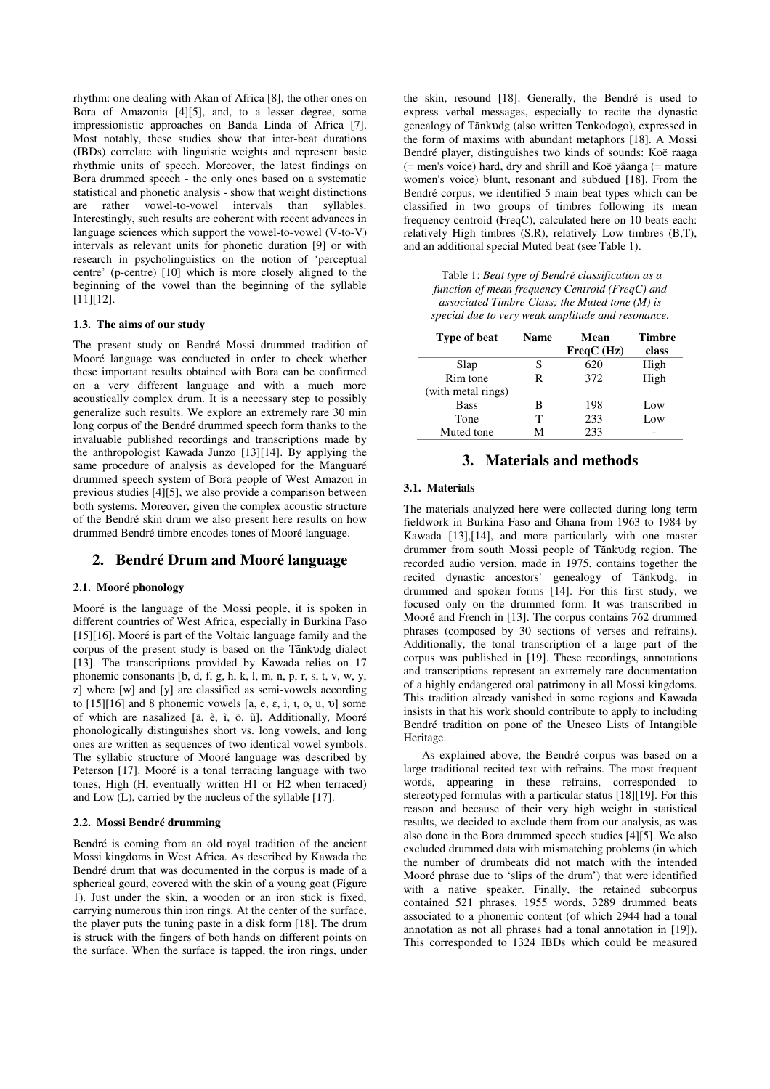rhythm: one dealing with Akan of Africa [8], the other ones on Bora of Amazonia [4][5], and, to a lesser degree, some impressionistic approaches on Banda Linda of Africa [7]. Most notably, these studies show that inter-beat durations (IBDs) correlate with linguistic weights and represent basic rhythmic units of speech. Moreover, the latest findings on Bora drummed speech - the only ones based on a systematic statistical and phonetic analysis - show that weight distinctions are rather vowel-to-vowel intervals than syllables. Interestingly, such results are coherent with recent advances in language sciences which support the vowel-to-vowel (V-to-V) intervals as relevant units for phonetic duration [9] or with research in psycholinguistics on the notion of 'perceptual centre' (p-centre) [10] which is more closely aligned to the beginning of the vowel than the beginning of the syllable [11][12].

#### **1.3. The aims of our study**

The present study on Bendré Mossi drummed tradition of Mooré language was conducted in order to check whether these important results obtained with Bora can be confirmed on a very different language and with a much more acoustically complex drum. It is a necessary step to possibly generalize such results. We explore an extremely rare 30 min long corpus of the Bendré drummed speech form thanks to the invaluable published recordings and transcriptions made by the anthropologist Kawada Junzo [13][14]. By applying the same procedure of analysis as developed for the Manguaré drummed speech system of Bora people of West Amazon in previous studies [4][5], we also provide a comparison between both systems. Moreover, given the complex acoustic structure of the Bendré skin drum we also present here results on how drummed Bendré timbre encodes tones of Mooré language.

# **2. Bendré Drum and Mooré language**

#### **2.1. Mooré phonology**

Mooré is the language of the Mossi people, it is spoken in different countries of West Africa, especially in Burkina Faso [15][16]. Mooré is part of the Voltaic language family and the corpus of the present study is based on the Tãnkυdg dialect [13]. The transcriptions provided by Kawada relies on 17 phonemic consonants  $[b, d, f, g, h, k, l, m, n, p, r, s, t, v, w, y,$ z] where [w] and [y] are classified as semi-vowels according to  $[15][16]$  and 8 phonemic vowels  $[a, e, \varepsilon, i, u, o, u, v]$  some of which are nasalized [ã, ẽ, ĩ, õ, ũ]. Additionally, Mooré phonologically distinguishes short vs. long vowels, and long ones are written as sequences of two identical vowel symbols. The syllabic structure of Mooré language was described by Peterson [17]. Mooré is a tonal terracing language with two tones, High (H, eventually written H1 or H2 when terraced) and Low (L), carried by the nucleus of the syllable [17].

#### **2.2. Mossi Bendré drumming**

Bendré is coming from an old royal tradition of the ancient Mossi kingdoms in West Africa. As described by Kawada the Bendré drum that was documented in the corpus is made of a spherical gourd, covered with the skin of a young goat (Figure 1). Just under the skin, a wooden or an iron stick is fixed, carrying numerous thin iron rings. At the center of the surface, the player puts the tuning paste in a disk form [18]. The drum is struck with the fingers of both hands on different points on the surface. When the surface is tapped, the iron rings, under

the skin, resound [18]. Generally, the Bendré is used to express verbal messages, especially to recite the dynastic genealogy of Tãnkυdg (also written Tenkodogo), expressed in the form of maxims with abundant metaphors [18]. A Mossi Bendré player, distinguishes two kinds of sounds: Koë raaga  $(=$  men's voice) hard, dry and shrill and Koë yâanga  $(=$  mature women's voice) blunt, resonant and subdued [18]. From the Bendré corpus, we identified 5 main beat types which can be classified in two groups of timbres following its mean frequency centroid (FreqC), calculated here on 10 beats each: relatively High timbres (S,R), relatively Low timbres (B,T), and an additional special Muted beat (see Table 1).

 Table 1: *Beat type of Bendré classification as a function of mean frequency Centroid (FreqC) and associated Timbre Class; the Muted tone (M) is special due to very weak amplitude and resonance.*

| Type of beat       | <b>Name</b> | Mean<br>FreqC(Hz) | <b>Timbre</b><br>class |
|--------------------|-------------|-------------------|------------------------|
| Slap               | S           | 620               | High                   |
| Rim tone           | R           | 372               | High                   |
| (with metal rings) |             |                   |                        |
| <b>Bass</b>        | в           | 198               | Low                    |
| Tone               | т           | 233               | Low                    |
| Muted tone         | М           | 233               |                        |

# **3. Materials and methods**

## **3.1. Materials**

The materials analyzed here were collected during long term fieldwork in Burkina Faso and Ghana from 1963 to 1984 by Kawada [13],[14], and more particularly with one master drummer from south Mossi people of Tãnkυdg region. The recorded audio version, made in 1975, contains together the recited dynastic ancestors' genealogy of Tãnkυdg, in drummed and spoken forms [14]. For this first study, we focused only on the drummed form. It was transcribed in Mooré and French in [13]. The corpus contains 762 drummed phrases (composed by 30 sections of verses and refrains). Additionally, the tonal transcription of a large part of the corpus was published in [19]. These recordings, annotations and transcriptions represent an extremely rare documentation of a highly endangered oral patrimony in all Mossi kingdoms. This tradition already vanished in some regions and Kawada insists in that his work should contribute to apply to including Bendré tradition on pone of the Unesco Lists of Intangible Heritage.

As explained above, the Bendré corpus was based on a large traditional recited text with refrains. The most frequent words, appearing in these refrains, corresponded to stereotyped formulas with a particular status [18][19]. For this reason and because of their very high weight in statistical results, we decided to exclude them from our analysis, as was also done in the Bora drummed speech studies [4][5]. We also excluded drummed data with mismatching problems (in which the number of drumbeats did not match with the intended Mooré phrase due to 'slips of the drum') that were identified with a native speaker. Finally, the retained subcorpus contained 521 phrases, 1955 words, 3289 drummed beats associated to a phonemic content (of which 2944 had a tonal annotation as not all phrases had a tonal annotation in [19]). This corresponded to 1324 IBDs which could be measured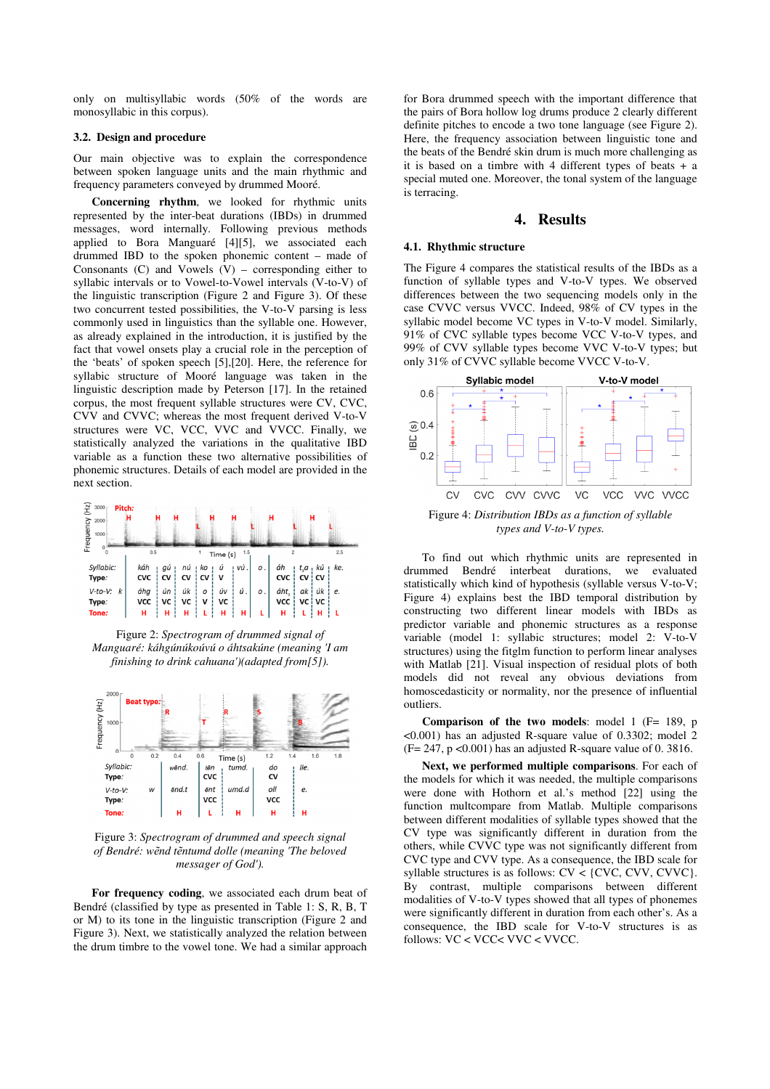only on multisyllabic words (50% of the words are monosyllabic in this corpus).

#### **3.2. Design and procedure**

Our main objective was to explain the correspondence between spoken language units and the main rhythmic and frequency parameters conveyed by drummed Mooré.

**Concerning rhythm**, we looked for rhythmic units represented by the inter-beat durations (IBDs) in drummed messages, word internally. Following previous methods applied to Bora Manguaré [4][5], we associated each drummed IBD to the spoken phonemic content – made of Consonants  $(C)$  and Vowels  $(V)$  – corresponding either to syllabic intervals or to Vowel-to-Vowel intervals (V-to-V) of the linguistic transcription (Figure 2 and Figure 3). Of these two concurrent tested possibilities, the V-to-V parsing is less commonly used in linguistics than the syllable one. However, as already explained in the introduction, it is justified by the fact that vowel onsets play a crucial role in the perception of the 'beats' of spoken speech [5],[20]. Here, the reference for syllabic structure of Mooré language was taken in the linguistic description made by Peterson [17]. In the retained corpus, the most frequent syllable structures were CV, CVC, CVV and CVVC; whereas the most frequent derived V-to-V structures were VC, VCC, VVC and VVCC. Finally, we statistically analyzed the variations in the qualitative IBD variable as a function these two alternative possibilities of phonemic structures. Details of each model are provided in the next section.

| Ξ,<br>3000<br>Pitch:<br>2000  | н                 | Ĥ        | н        |            |          |       |    |                                |                          | н             |     |  |
|-------------------------------|-------------------|----------|----------|------------|----------|-------|----|--------------------------------|--------------------------|---------------|-----|--|
| Frequency<br>1000<br>$\theta$ | 0.5               |          |          |            | Time (s) | 1.5   |    |                                |                          |               | 2.5 |  |
| Syllabic:<br>Type:            | káh<br><b>CVC</b> | gú<br>CV | пú<br>CV | ı ko<br>CV | ú<br>ν   | ! vú. | ο. | áh<br>CVC                      | $t_{s}a$<br>ı<br>CV i CV | ı kú          | ke. |  |
| $V-to-V:$<br>k<br>Type:       | áhg<br><b>VCC</b> | ún<br>VC | úk<br>VC | O<br>ν     | úν<br>VC | ú.    | ο. | áht <sub>s</sub><br><b>VCC</b> | ak                       | úk<br>vc i vc | e.  |  |
| Tone:                         | н                 | н        | н        |            | н        | н     |    | н                              |                          | н             |     |  |

Figure 2: *Spectrogram of drummed signal of Manguaré: káhgúnúkoúvú o áhtsakúne (meaning 'I am finishing to drink cahuana')(adapted from[5]).* 



Figure 3: *Spectrogram of drummed and speech signal of Bendré: wẽnd tẽntumd dolle (meaning 'The beloved messager of God').* 

**For frequency coding**, we associated each drum beat of Bendré (classified by type as presented in Table 1: S, R, B, T or M) to its tone in the linguistic transcription (Figure 2 and Figure 3). Next, we statistically analyzed the relation between the drum timbre to the vowel tone. We had a similar approach for Bora drummed speech with the important difference that the pairs of Bora hollow log drums produce 2 clearly different definite pitches to encode a two tone language (see Figure 2). Here, the frequency association between linguistic tone and the beats of the Bendré skin drum is much more challenging as it is based on a timbre with 4 different types of beats + a special muted one. Moreover, the tonal system of the language is terracing.

## **4. Results**

#### **4.1. Rhythmic structure**

The Figure 4 compares the statistical results of the IBDs as a function of syllable types and V-to-V types. We observed differences between the two sequencing models only in the case CVVC versus VVCC. Indeed, 98% of CV types in the syllabic model become VC types in V-to-V model. Similarly, 91% of CVC syllable types become VCC V-to-V types, and 99% of CVV syllable types become VVC V-to-V types; but only 31% of CVVC syllable become VVCC V-to-V.



Figure 4: *Distribution IBDs as a function of syllable types and V-to-V types.* 

To find out which rhythmic units are represented in drummed Bendré interbeat durations, we evaluated statistically which kind of hypothesis (syllable versus V-to-V; Figure 4) explains best the IBD temporal distribution by constructing two different linear models with IBDs as predictor variable and phonemic structures as a response variable (model 1: syllabic structures; model 2: V-to-V structures) using the fitglm function to perform linear analyses with Matlab [21]. Visual inspection of residual plots of both models did not reveal any obvious deviations from homoscedasticity or normality, nor the presence of influential outliers.

**Comparison of the two models**: model 1 (F= 189, p <0.001) has an adjusted R-square value of 0.3302; model 2  $(F= 247, p < 0.001)$  has an adjusted R-square value of 0. 3816.

**Next, we performed multiple comparisons**. For each of the models for which it was needed, the multiple comparisons were done with Hothorn et al.'s method [22] using the function multcompare from Matlab. Multiple comparisons between different modalities of syllable types showed that the CV type was significantly different in duration from the others, while CVVC type was not significantly different from CVC type and CVV type. As a consequence, the IBD scale for syllable structures is as follows:  $CV <$ {CVC, CVV, CVVC}. By contrast, multiple comparisons between different modalities of V-to-V types showed that all types of phonemes were significantly different in duration from each other's. As a consequence, the IBD scale for V-to-V structures is as follows: VC < VCC< VVC < VVCC.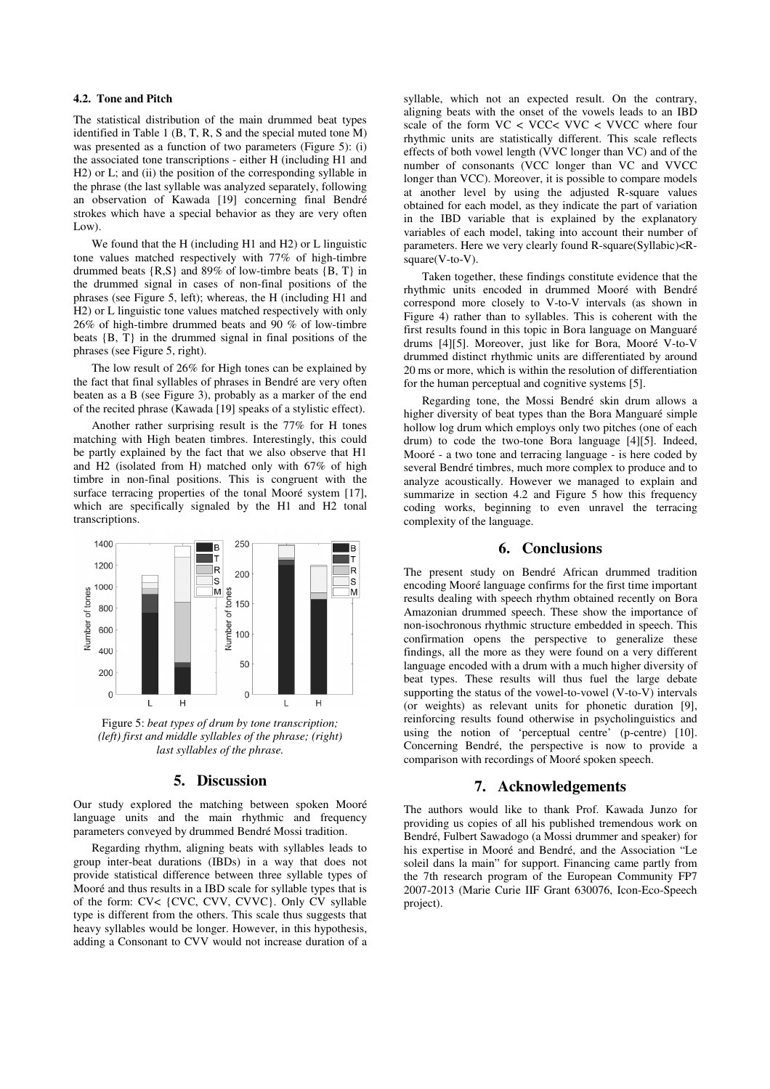## **4.2. Tone and Pitch**

The statistical distribution of the main drummed beat types identified in Table 1 (B, T, R, S and the special muted tone M) was presented as a function of two parameters (Figure 5): (i) the associated tone transcriptions - either H (including H1 and H2) or L; and (ii) the position of the corresponding syllable in the phrase (the last syllable was analyzed separately, following an observation of Kawada [19] concerning final Bendré strokes which have a special behavior as they are very often Low).

We found that the H (including H1 and H2) or L linguistic tone values matched respectively with 77% of high-timbre drummed beats {R,S} and 89% of low-timbre beats {B, T} in the drummed signal in cases of non-final positions of the phrases (see Figure 5, left); whereas, the H (including H1 and H2) or L linguistic tone values matched respectively with only 26% of high-timbre drummed beats and 90 % of low-timbre beats  ${B, T}$  in the drummed signal in final positions of the phrases (see Figure 5, right).

The low result of 26% for High tones can be explained by the fact that final syllables of phrases in Bendré are very often beaten as a B (see Figure 3), probably as a marker of the end of the recited phrase (Kawada [19] speaks of a stylistic effect).

Another rather surprising result is the 77% for H tones matching with High beaten timbres. Interestingly, this could be partly explained by the fact that we also observe that H1 and H2 (isolated from H) matched only with 67% of high timbre in non-final positions. This is congruent with the surface terracing properties of the tonal Mooré system [17], which are specifically signaled by the H1 and H2 tonal transcriptions.



Figure 5: *beat types of drum by tone transcription; (left) first and middle syllables of the phrase; (right) last syllables of the phrase.* 

# **5. Discussion**

Our study explored the matching between spoken Mooré language units and the main rhythmic and frequency parameters conveyed by drummed Bendré Mossi tradition.

Regarding rhythm, aligning beats with syllables leads to group inter-beat durations (IBDs) in a way that does not provide statistical difference between three syllable types of Mooré and thus results in a IBD scale for syllable types that is of the form: CV< {CVC, CVV, CVVC}. Only CV syllable type is different from the others. This scale thus suggests that heavy syllables would be longer. However, in this hypothesis, adding a Consonant to CVV would not increase duration of a syllable, which not an expected result. On the contrary, aligning beats with the onset of the vowels leads to an IBD scale of the form VC < VCC< VVC < VVCC where four rhythmic units are statistically different. This scale reflects effects of both vowel length (VVC longer than VC) and of the number of consonants (VCC longer than VC and VVCC longer than VCC). Moreover, it is possible to compare models at another level by using the adjusted R-square values obtained for each model, as they indicate the part of variation in the IBD variable that is explained by the explanatory variables of each model, taking into account their number of parameters. Here we very clearly found R-square(Syllabic)<Rsquare(V-to-V).

Taken together, these findings constitute evidence that the rhythmic units encoded in drummed Mooré with Bendré correspond more closely to V-to-V intervals (as shown in Figure 4) rather than to syllables. This is coherent with the first results found in this topic in Bora language on Manguaré drums [4][5]. Moreover, just like for Bora, Mooré V-to-V drummed distinct rhythmic units are differentiated by around 20 ms or more, which is within the resolution of differentiation for the human perceptual and cognitive systems [5].

Regarding tone, the Mossi Bendré skin drum allows a higher diversity of beat types than the Bora Manguaré simple hollow log drum which employs only two pitches (one of each drum) to code the two-tone Bora language [4][5]. Indeed, Mooré - a two tone and terracing language - is here coded by several Bendré timbres, much more complex to produce and to analyze acoustically. However we managed to explain and summarize in section 4.2 and Figure 5 how this frequency coding works, beginning to even unravel the terracing complexity of the language.

## **6. Conclusions**

The present study on Bendré African drummed tradition encoding Mooré language confirms for the first time important results dealing with speech rhythm obtained recently on Bora Amazonian drummed speech. These show the importance of non-isochronous rhythmic structure embedded in speech. This confirmation opens the perspective to generalize these findings, all the more as they were found on a very different language encoded with a drum with a much higher diversity of beat types. These results will thus fuel the large debate supporting the status of the vowel-to-vowel (V-to-V) intervals (or weights) as relevant units for phonetic duration [9], reinforcing results found otherwise in psycholinguistics and using the notion of 'perceptual centre' (p-centre) [10]. Concerning Bendré, the perspective is now to provide a comparison with recordings of Mooré spoken speech.

# **7. Acknowledgements**

The authors would like to thank Prof. Kawada Junzo for providing us copies of all his published tremendous work on Bendré, Fulbert Sawadogo (a Mossi drummer and speaker) for his expertise in Mooré and Bendré, and the Association "Le soleil dans la main" for support. Financing came partly from the 7th research program of the European Community FP7 2007-2013 (Marie Curie IIF Grant 630076, Icon-Eco-Speech project).